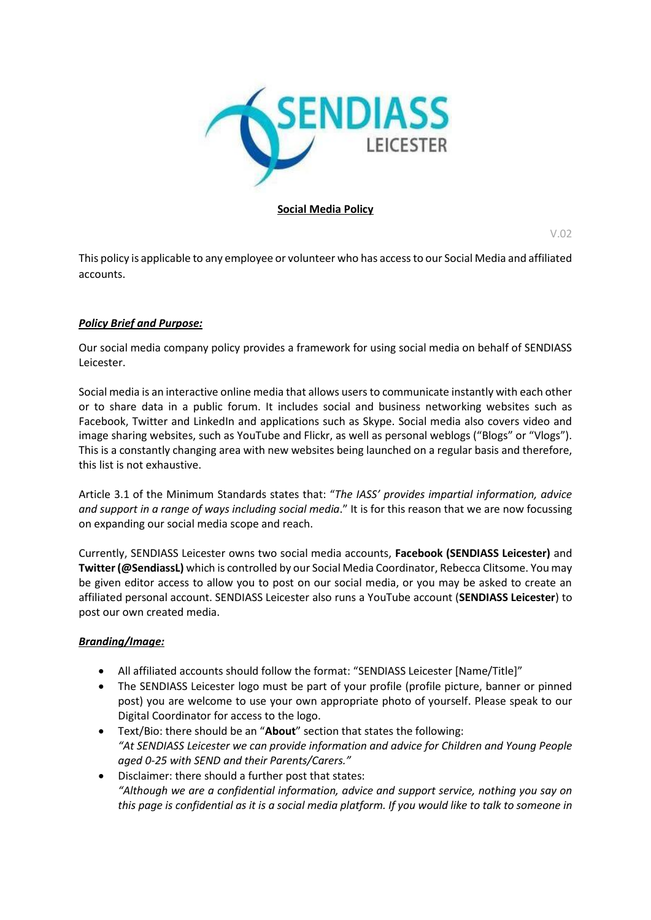

### **Social Media Policy**

V.02

This policy is applicable to any employee or volunteer who has access to our Social Media and affiliated accounts.

# *Policy Brief and Purpose:*

Our social media company policy provides a framework for using social media on behalf of SENDIASS Leicester.

Social media is an interactive online media that allows users to communicate instantly with each other or to share data in a public forum. It includes social and business networking websites such as Facebook, Twitter and LinkedIn and applications such as Skype. Social media also covers video and image sharing websites, such as YouTube and Flickr, as well as personal weblogs ("Blogs" or "Vlogs"). This is a constantly changing area with new websites being launched on a regular basis and therefore, this list is not exhaustive.

Article 3.1 of the Minimum Standards states that: "*The IASS' provides impartial information, advice and support in a range of ways including social media*." It is for this reason that we are now focussing on expanding our social media scope and reach.

Currently, SENDIASS Leicester owns two social media accounts, **Facebook (SENDIASS Leicester)** and **Twitter (@SendiassL)** which is controlled by our Social Media Coordinator, Rebecca Clitsome. You may be given editor access to allow you to post on our social media, or you may be asked to create an affiliated personal account. SENDIASS Leicester also runs a YouTube account (**SENDIASS Leicester**) to post our own created media.

# *Branding/Image:*

- All affiliated accounts should follow the format: "SENDIASS Leicester [Name/Title]"
- The SENDIASS Leicester logo must be part of your profile (profile picture, banner or pinned post) you are welcome to use your own appropriate photo of yourself. Please speak to our Digital Coordinator for access to the logo.
- Text/Bio: there should be an "**About**" section that states the following: *"At SENDIASS Leicester we can provide information and advice for Children and Young People aged 0-25 with SEND and their Parents/Carers."*
- Disclaimer: there should a further post that states: *"Although we are a confidential information, advice and support service, nothing you say on this page is confidential as it is a social media platform. If you would like to talk to someone in*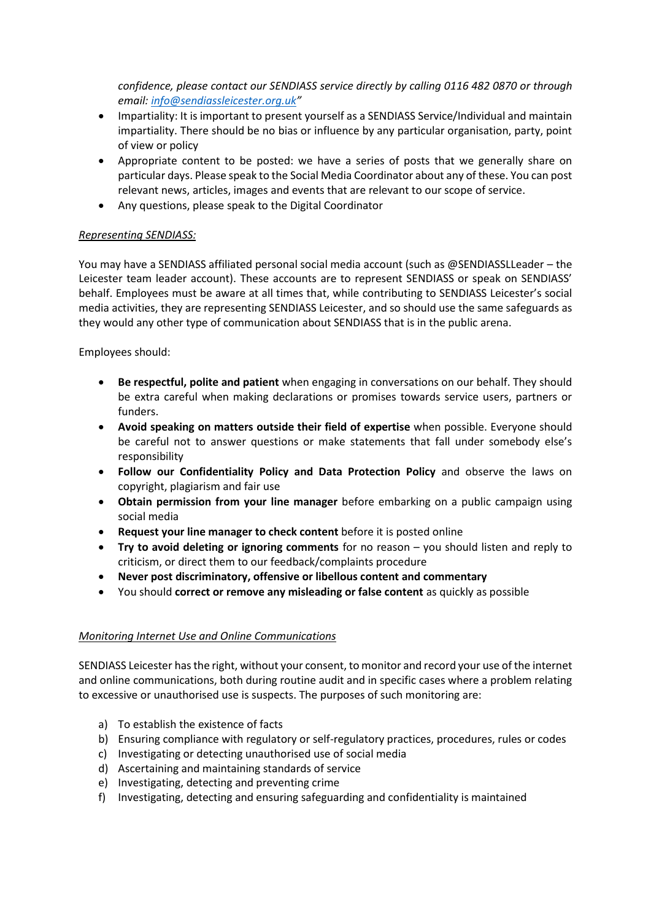*confidence, please contact our SENDIASS service directly by calling 0116 482 0870 or through email: [info@sendiassleicester.org.uk](mailto:info@sendiassleicester.org.uk)"*

- Impartiality: It is important to present yourself as a SENDIASS Service/Individual and maintain impartiality. There should be no bias or influence by any particular organisation, party, point of view or policy
- Appropriate content to be posted: we have a series of posts that we generally share on particular days. Please speak to the Social Media Coordinator about any of these. You can post relevant news, articles, images and events that are relevant to our scope of service.
- Any questions, please speak to the Digital Coordinator

# *Representing SENDIASS:*

You may have a SENDIASS affiliated personal social media account (such as @SENDIASSLLeader – the Leicester team leader account). These accounts are to represent SENDIASS or speak on SENDIASS' behalf. Employees must be aware at all times that, while contributing to SENDIASS Leicester's social media activities, they are representing SENDIASS Leicester, and so should use the same safeguards as they would any other type of communication about SENDIASS that is in the public arena.

Employees should:

- **Be respectful, polite and patient** when engaging in conversations on our behalf. They should be extra careful when making declarations or promises towards service users, partners or funders.
- **Avoid speaking on matters outside their field of expertise** when possible. Everyone should be careful not to answer questions or make statements that fall under somebody else's responsibility
- **Follow our Confidentiality Policy and Data Protection Policy** and observe the laws on copyright, plagiarism and fair use
- **Obtain permission from your line manager** before embarking on a public campaign using social media
- **Request your line manager to check content** before it is posted online
- **Try to avoid deleting or ignoring comments** for no reason you should listen and reply to criticism, or direct them to our feedback/complaints procedure
- **Never post discriminatory, offensive or libellous content and commentary**
- You should **correct or remove any misleading or false content** as quickly as possible

# *Monitoring Internet Use and Online Communications*

SENDIASS Leicester has the right, without your consent, to monitor and record your use of the internet and online communications, both during routine audit and in specific cases where a problem relating to excessive or unauthorised use is suspects. The purposes of such monitoring are:

- a) To establish the existence of facts
- b) Ensuring compliance with regulatory or self-regulatory practices, procedures, rules or codes
- c) Investigating or detecting unauthorised use of social media
- d) Ascertaining and maintaining standards of service
- e) Investigating, detecting and preventing crime
- f) Investigating, detecting and ensuring safeguarding and confidentiality is maintained